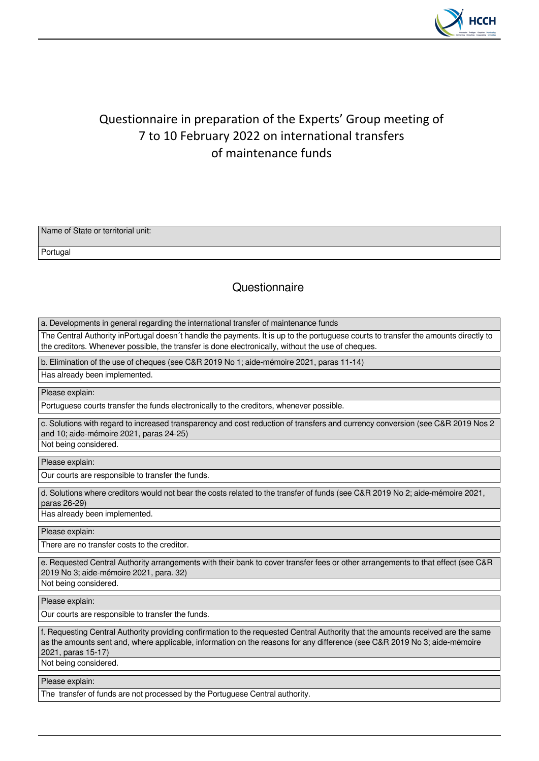

## Questionnaire in preparation of the Experts' Group meeting of 7 to 10 February 2022 on international transfers of maintenance funds

| Name of State or territorial unit: |  |
|------------------------------------|--|
|                                    |  |
|                                    |  |
| Portugal                           |  |

## **Questionnaire**

a. Developments in general regarding the international transfer of maintenance funds

The Central Authority inPortugal doesn´t handle the payments. It is up to the portuguese courts to transfer the amounts directly to the creditors. Whenever possible, the transfer is done electronically, without the use of cheques.

b. Elimination of the use of cheques (see C&R 2019 No 1; aide-mémoire 2021, paras 11-14)

Has already been implemented.

Please explain:

Portuguese courts transfer the funds electronically to the creditors, whenever possible.

c. Solutions with regard to increased transparency and cost reduction of transfers and currency conversion (see C&R 2019 Nos 2 and 10; aide-mémoire 2021, paras 24-25) Not being considered.

Please explain:

Our courts are responsible to transfer the funds.

d. Solutions where creditors would not bear the costs related to the transfer of funds (see C&R 2019 No 2; aide-mémoire 2021, paras 26-29)

Has already been implemented.

Please explain:

There are no transfer costs to the creditor.

e. Requested Central Authority arrangements with their bank to cover transfer fees or other arrangements to that effect (see C&R 2019 No 3; aide-mémoire 2021, para. 32)

Not being considered.

Please explain:

Our courts are responsible to transfer the funds.

f. Requesting Central Authority providing confirmation to the requested Central Authority that the amounts received are the same as the amounts sent and, where applicable, information on the reasons for any difference (see C&R 2019 No 3; aide-mémoire 2021, paras 15-17)

Not being considered.

Please explain:

The transfer of funds are not processed by the Portuguese Central authority.